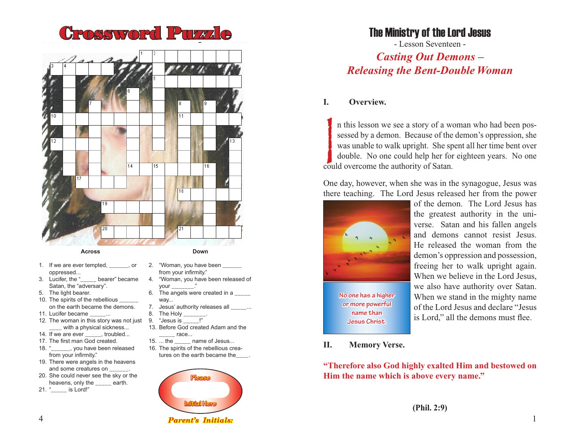



#### **Across**

- **Down**
- 1. If we are ever tempted. The coroppressed...
- 3. Lucifer, the " \_\_\_\_\_ bearer" became Satan, the "adversary".
- 5. The light bearer.
- 10. The spirits of the rebellious on the earth became the demons.
- 11. Lucifer became ...
- 12. The woman in this story was not just with a physical sickness...
- 14. If we are ever \_\_\_\_\_, troubled...
- 17. The first man God created.
- 18. "\_\_\_\_\_\_, you have been released from your infirmity."
- 19. There were angels in the heavens and some creatures on
- 20. She could never see the sky or the heavens, only the \_\_\_\_\_ earth.
- 21. "\_\_\_\_\_ is Lord!"
- 2. "Woman, you have been
- from your infirmity." 4. "Woman, you have been released of
- your \_\_\_\_\_\_\_." 6. The angels were created in a
- way...
- 7. Jesus' authority releases all \_\_\_\_\_... 8. The Holv
- 9. "Jesus is
- 13. Before God created Adam and the
	- race...
- 15. ... the mame of Jesus...
- 16. The spirits of the rebellious creatures on the earth became the



# The Ministry of the Lord Jesus

- Lesson Seventeen - *Casting Out Demons – Releasing the Bent-Double Woman*

# **I. Overview.**

If the second we see a story of a we<br>sessed by a demon. Because of the<br>was unable to walk upright. She speed<br>double. No one could help her for<br>could overcome the authority of Satan. n this lesson we see a story of a woman who had been possessed by a demon. Because of the demon's oppression, she was unable to walk upright. She spent all her time bent over double. No one could help her for eighteen years. No one

One day, however, when she was in the synagogue, Jesus was there teaching. The Lord Jesus released her from the power



**No one has a higher or more powerful name than Jesus Christ.**

of the demon. The Lord Jesus has the greatest authority in the universe. Satan and his fallen angels and demons cannot resist Jesus. He released the woman from the demon's oppression and possession, freeing her to walk upright again. When we believe in the Lord Jesus, we also have authority over Satan. When we stand in the mighty name of the Lord Jesus and declare "Jesus is Lord," all the demons must flee.

### **II. Memory Verse.**

**"Therefore also God highly exalted Him and bestowed on Him the name which is above every name."**